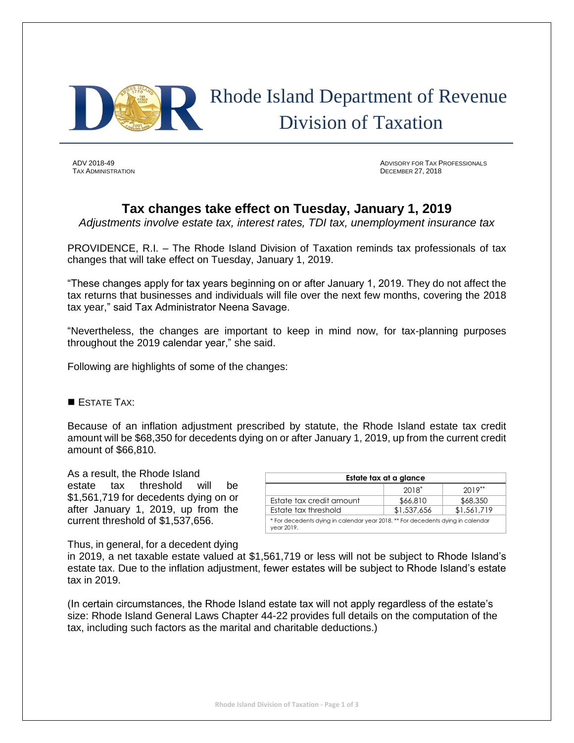

# Rhode Island Department of Revenue Division of Taxation

**TAX ADMINISTRATION** 

ADV 2018-49 ADVISORY FOR TAX PROFESSIONALS

## **Tax changes take effect on Tuesday, January 1, 2019**

*Adjustments involve estate tax, interest rates, TDI tax, unemployment insurance tax*

PROVIDENCE, R.I. – The Rhode Island Division of Taxation reminds tax professionals of tax changes that will take effect on Tuesday, January 1, 2019.

"These changes apply for tax years beginning on or after January 1, 2019. They do not affect the tax returns that businesses and individuals will file over the next few months, covering the 2018 tax year," said Tax Administrator Neena Savage.

"Nevertheless, the changes are important to keep in mind now, for tax-planning purposes throughout the 2019 calendar year," she said.

Following are highlights of some of the changes:

### ESTATE TAX:

Because of an inflation adjustment prescribed by statute, the Rhode Island estate tax credit amount will be \$68,350 for decedents dying on or after January 1, 2019, up from the current credit amount of \$66,810.

As a result, the Rhode Island estate tax threshold will be \$1,561,719 for decedents dying on or after January 1, 2019, up from the current threshold of \$1,537,656.

| Estate tax at a glance                                                                        |             |             |  |  |
|-----------------------------------------------------------------------------------------------|-------------|-------------|--|--|
|                                                                                               | $2018^*$    | $2019***$   |  |  |
| Estate tax credit amount                                                                      | \$66,810    | \$68,350    |  |  |
| Estate tax threshold                                                                          | \$1,537,656 | \$1,561,719 |  |  |
| * For decedents dying in calendar year 2018. ** For decedents dying in calendar<br>year 2019. |             |             |  |  |

Thus, in general, for a decedent dying

in 2019, a net taxable estate valued at \$1,561,719 or less will not be subject to Rhode Island's estate tax. Due to the inflation adjustment, fewer estates will be subject to Rhode Island's estate tax in 2019.

(In certain circumstances, the Rhode Island estate tax will not apply regardless of the estate's size: Rhode Island General Laws Chapter 44-22 provides full details on the computation of the tax, including such factors as the marital and charitable deductions.)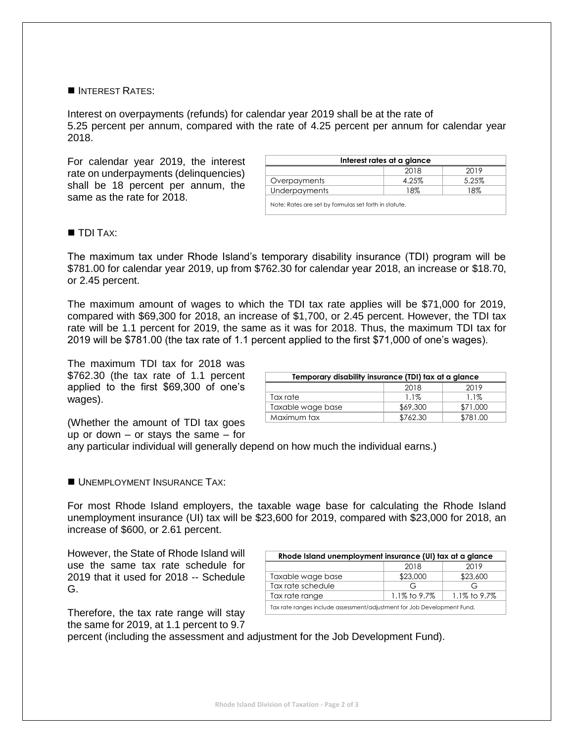#### **INTEREST RATES:**

Interest on overpayments (refunds) for calendar year 2019 shall be at the rate of 5.25 percent per annum, compared with the rate of 4.25 percent per annum for calendar year 2018.

For calendar year 2019, the interest rate on underpayments (delinquencies) shall be 18 percent per annum, the same as the rate for 2018.

| Interest rates at a glance                            |       |       |  |  |
|-------------------------------------------------------|-------|-------|--|--|
|                                                       | 2018  | 2019  |  |  |
| Overpayments                                          | 4.25% | 5.25% |  |  |
| Underpayments                                         | 18%   | 18%   |  |  |
| Note: Rates are set by formulas set forth in statute. |       |       |  |  |

### **TDI TAX:**

The maximum tax under Rhode Island's temporary disability insurance (TDI) program will be \$781.00 for calendar year 2019, up from \$762.30 for calendar year 2018, an increase or \$18.70, or 2.45 percent.

The maximum amount of wages to which the TDI tax rate applies will be \$71,000 for 2019, compared with \$69,300 for 2018, an increase of \$1,700, or 2.45 percent. However, the TDI tax rate will be 1.1 percent for 2019, the same as it was for 2018. Thus, the maximum TDI tax for 2019 will be \$781.00 (the tax rate of 1.1 percent applied to the first \$71,000 of one's wages).

The maximum TDI tax for 2018 was \$762.30 (the tax rate of 1.1 percent applied to the first \$69,300 of one's wages).

| Temporary disability insurance (TDI) tax at a glance |          |          |  |
|------------------------------------------------------|----------|----------|--|
|                                                      | 2018     | 2019     |  |
| Tax rate                                             | $1.1\%$  | $1.1\%$  |  |
| Taxable wage base                                    | \$69,300 | \$71,000 |  |
| Maximum tax                                          | \$762.30 | \$781.00 |  |

(Whether the amount of TDI tax goes up or down – or stays the same – for

any particular individual will generally depend on how much the individual earns.)

#### UNEMPLOYMENT INSURANCE TAX:

For most Rhode Island employers, the taxable wage base for calculating the Rhode Island unemployment insurance (UI) tax will be \$23,600 for 2019, compared with \$23,000 for 2018, an increase of \$600, or 2.61 percent.

However, the State of Rhode Island will use the same tax rate schedule for 2019 that it used for 2018 -- Schedule G.

Therefore, the tax rate range will stay the same for 2019, at 1.1 percent to 9.7

| Rhode Island unemployment insurance (UI) tax at a glance                |                 |              |  |  |
|-------------------------------------------------------------------------|-----------------|--------------|--|--|
|                                                                         | 2018            | 2019         |  |  |
| Taxable wage base                                                       | \$23,000        | \$23,600     |  |  |
| Tax rate schedule                                                       | G               | G            |  |  |
| Tax rate range                                                          | 1.1% to $9.7\%$ | 1.1% to 9.7% |  |  |
| Tax rate ranges include assessment/adjustment for Job Development Fund. |                 |              |  |  |

percent (including the assessment and adjustment for the Job Development Fund).